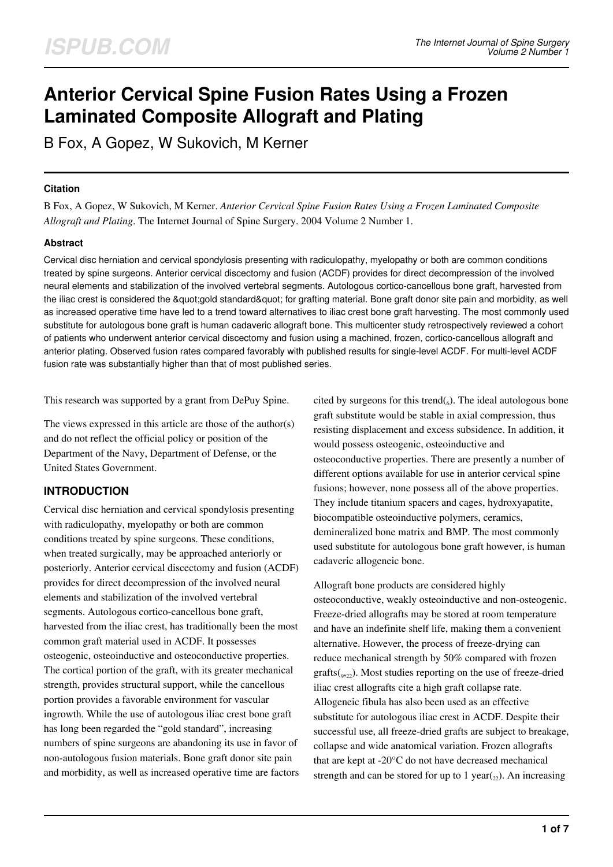# **Anterior Cervical Spine Fusion Rates Using a Frozen Laminated Composite Allograft and Plating**

B Fox, A Gopez, W Sukovich, M Kerner

## **Citation**

B Fox, A Gopez, W Sukovich, M Kerner. *Anterior Cervical Spine Fusion Rates Using a Frozen Laminated Composite Allograft and Plating*. The Internet Journal of Spine Surgery. 2004 Volume 2 Number 1.

## **Abstract**

Cervical disc herniation and cervical spondylosis presenting with radiculopathy, myelopathy or both are common conditions treated by spine surgeons. Anterior cervical discectomy and fusion (ACDF) provides for direct decompression of the involved neural elements and stabilization of the involved vertebral segments. Autologous cortico-cancellous bone graft, harvested from the iliac crest is considered the &quot: gold standard" for grafting material. Bone graft donor site pain and morbidity, as well as increased operative time have led to a trend toward alternatives to iliac crest bone graft harvesting. The most commonly used substitute for autologous bone graft is human cadaveric allograft bone. This multicenter study retrospectively reviewed a cohort of patients who underwent anterior cervical discectomy and fusion using a machined, frozen, cortico-cancellous allograft and anterior plating. Observed fusion rates compared favorably with published results for single-level ACDF. For multi-level ACDF fusion rate was substantially higher than that of most published series.

This research was supported by a grant from DePuy Spine.

The views expressed in this article are those of the author(s) and do not reflect the official policy or position of the Department of the Navy, Department of Defense, or the United States Government.

# **INTRODUCTION**

Cervical disc herniation and cervical spondylosis presenting with radiculopathy, myelopathy or both are common conditions treated by spine surgeons. These conditions, when treated surgically, may be approached anteriorly or posteriorly. Anterior cervical discectomy and fusion (ACDF) provides for direct decompression of the involved neural elements and stabilization of the involved vertebral segments. Autologous cortico-cancellous bone graft, harvested from the iliac crest, has traditionally been the most common graft material used in ACDF. It possesses osteogenic, osteoinductive and osteoconductive properties. The cortical portion of the graft, with its greater mechanical strength, provides structural support, while the cancellous portion provides a favorable environment for vascular ingrowth. While the use of autologous iliac crest bone graft has long been regarded the "gold standard", increasing numbers of spine surgeons are abandoning its use in favor of non-autologous fusion materials. Bone graft donor site pain and morbidity, as well as increased operative time are factors

cited by surgeons for this trend $(_{6})$ . The ideal autologous bone graft substitute would be stable in axial compression, thus resisting displacement and excess subsidence. In addition, it would possess osteogenic, osteoinductive and osteoconductive properties. There are presently a number of different options available for use in anterior cervical spine fusions; however, none possess all of the above properties. They include titanium spacers and cages, hydroxyapatite, biocompatible osteoinductive polymers, ceramics, demineralized bone matrix and BMP. The most commonly used substitute for autologous bone graft however, is human cadaveric allogeneic bone.

Allograft bone products are considered highly osteoconductive, weakly osteoinductive and non-osteogenic. Freeze-dried allografts may be stored at room temperature and have an indefinite shelf life, making them a convenient alternative. However, the process of freeze-drying can reduce mechanical strength by 50% compared with frozen  $gratts({}_{922})$ . Most studies reporting on the use of freeze-dried iliac crest allografts cite a high graft collapse rate. Allogeneic fibula has also been used as an effective substitute for autologous iliac crest in ACDF. Despite their successful use, all freeze-dried grafts are subject to breakage, collapse and wide anatomical variation. Frozen allografts that are kept at -20°C do not have decreased mechanical strength and can be stored for up to 1 year( $\alpha$ ). An increasing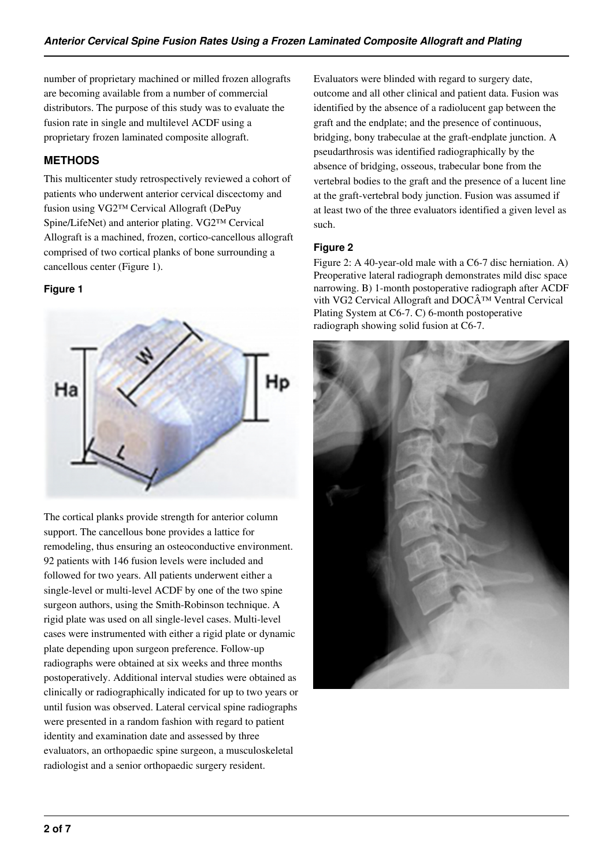number of proprietary machined or milled frozen allografts are becoming available from a number of commercial distributors. The purpose of this study was to evaluate the fusion rate in single and multilevel ACDF using a proprietary frozen laminated composite allograft.

# **METHODS**

This multicenter study retrospectively reviewed a cohort of patients who underwent anterior cervical discectomy and fusion using VG2™ Cervical Allograft (DePuy Spine/LifeNet) and anterior plating. VG2™ Cervical Allograft is a machined, frozen, cortico-cancellous allograft comprised of two cortical planks of bone surrounding a cancellous center (Figure 1).

## **Figure 1**



The cortical planks provide strength for anterior column support. The cancellous bone provides a lattice for remodeling, thus ensuring an osteoconductive environment. 92 patients with 146 fusion levels were included and followed for two years. All patients underwent either a single-level or multi-level ACDF by one of the two spine surgeon authors, using the Smith-Robinson technique. A rigid plate was used on all single-level cases. Multi-level cases were instrumented with either a rigid plate or dynamic plate depending upon surgeon preference. Follow-up radiographs were obtained at six weeks and three months postoperatively. Additional interval studies were obtained as clinically or radiographically indicated for up to two years or until fusion was observed. Lateral cervical spine radiographs were presented in a random fashion with regard to patient identity and examination date and assessed by three evaluators, an orthopaedic spine surgeon, a musculoskeletal radiologist and a senior orthopaedic surgery resident.

Evaluators were blinded with regard to surgery date, outcome and all other clinical and patient data. Fusion was identified by the absence of a radiolucent gap between the graft and the endplate; and the presence of continuous, bridging, bony trabeculae at the graft-endplate junction. A pseudarthrosis was identified radiographically by the absence of bridging, osseous, trabecular bone from the vertebral bodies to the graft and the presence of a lucent line at the graft-vertebral body junction. Fusion was assumed if at least two of the three evaluators identified a given level as such.

# **Figure 2**

Figure 2: A 40-year-old male with a C6-7 disc herniation. A) Preoperative lateral radiograph demonstrates mild disc space narrowing. B) 1-month postoperative radiograph after ACDF vith VG2 Cervical Allograft and  $DOC\hat{A}^{TM}$  Ventral Cervical Plating System at C6-7. C) 6-month postoperative radiograph showing solid fusion at C6-7.

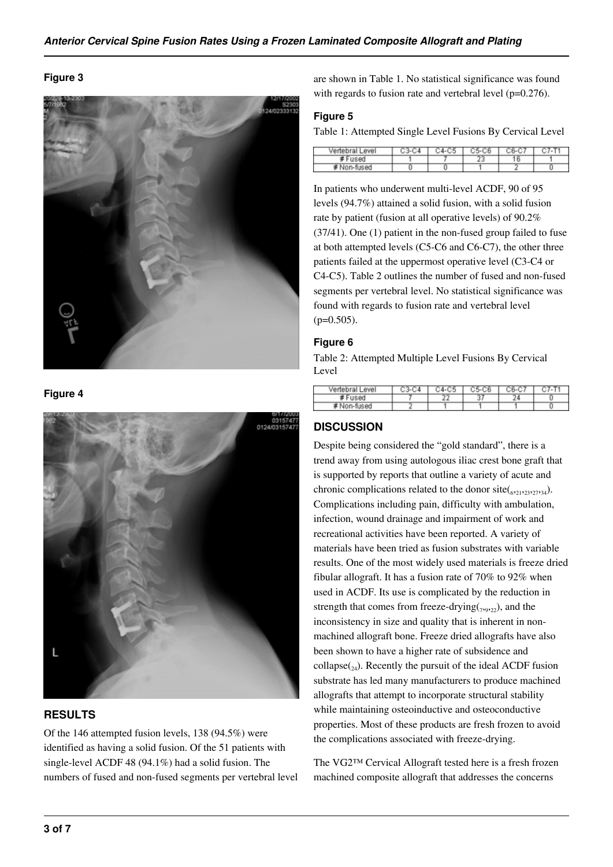### **Figure 3**



**Figure 4**

![](_page_2_Picture_4.jpeg)

# **RESULTS**

Of the 146 attempted fusion levels, 138 (94.5%) were identified as having a solid fusion. Of the 51 patients with single-level ACDF 48 (94.1%) had a solid fusion. The numbers of fused and non-fused segments per vertebral level are shown in Table 1. No statistical significance was found with regards to fusion rate and vertebral level (p=0.276).

#### **Figure 5**

Table 1: Attempted Single Level Fusions By Cervical Level

| Vertebral Level |  | я. |  |
|-----------------|--|----|--|
| Fused           |  |    |  |
| Non-fused       |  |    |  |

In patients who underwent multi-level ACDF, 90 of 95 levels (94.7%) attained a solid fusion, with a solid fusion rate by patient (fusion at all operative levels) of 90.2% (37/41). One (1) patient in the non-fused group failed to fuse at both attempted levels (C5-C6 and C6-C7), the other three patients failed at the uppermost operative level (C3-C4 or C4-C5). Table 2 outlines the number of fused and non-fused segments per vertebral level. No statistical significance was found with regards to fusion rate and vertebral level  $(p=0.505)$ .

### **Figure 6**

Table 2: Attempted Multiple Level Fusions By Cervical Level

| Vertebral Level | :4-C5 | C5-CR | 36-C | 7-T |
|-----------------|-------|-------|------|-----|
| #Fused          |       | J     |      |     |
| # Non-fused     |       |       |      |     |

# **DISCUSSION**

Despite being considered the "gold standard", there is a trend away from using autologous iliac crest bone graft that is supported by reports that outline a variety of acute and chronic complications related to the donor  $site({}_{621}, {}_{23}, {}_{27}, {}_{34})$ . Complications including pain, difficulty with ambulation, infection, wound drainage and impairment of work and recreational activities have been reported. A variety of materials have been tried as fusion substrates with variable results. One of the most widely used materials is freeze dried fibular allograft. It has a fusion rate of 70% to 92% when used in ACDF. Its use is complicated by the reduction in strength that comes from freeze-drying( $_{7,9,22}$ ), and the inconsistency in size and quality that is inherent in nonmachined allograft bone. Freeze dried allografts have also been shown to have a higher rate of subsidence and collapse $_{24}$ ). Recently the pursuit of the ideal ACDF fusion substrate has led many manufacturers to produce machined allografts that attempt to incorporate structural stability while maintaining osteoinductive and osteoconductive properties. Most of these products are fresh frozen to avoid the complications associated with freeze-drying.

The VG2™ Cervical Allograft tested here is a fresh frozen machined composite allograft that addresses the concerns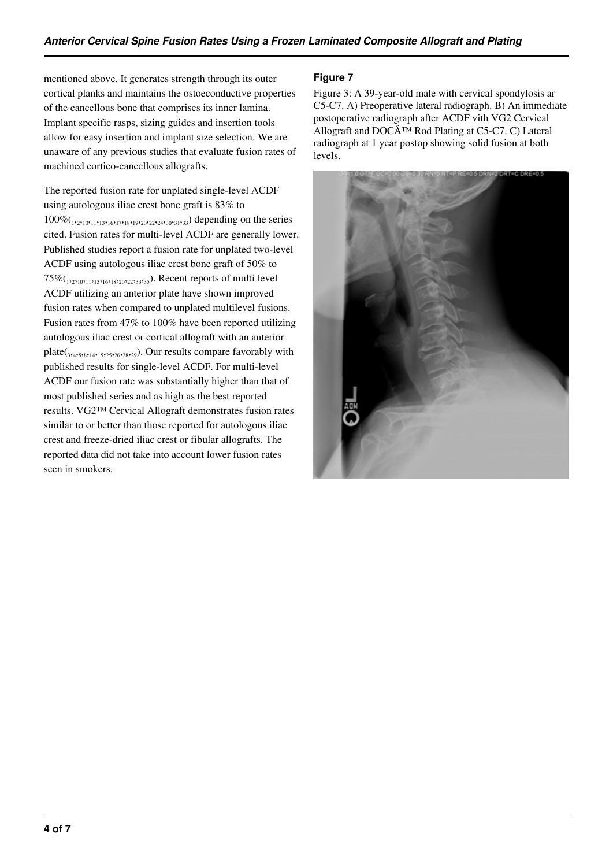mentioned above. It generates strength through its outer cortical planks and maintains the ostoeconductive properties of the cancellous bone that comprises its inner lamina. Implant specific rasps, sizing guides and insertion tools allow for easy insertion and implant size selection. We are unaware of any previous studies that evaluate fusion rates of machined cortico-cancellous allografts.

The reported fusion rate for unplated single-level ACDF using autologous iliac crest bone graft is 83% to 100%(1,2,10,11,13,16,17,18,19,20,22,24,30,31,33) depending on the series cited. Fusion rates for multi-level ACDF are generally lower. Published studies report a fusion rate for unplated two-level ACDF using autologous iliac crest bone graft of 50% to 75%(<sub>1,2,10</sub>,<sub>11,13,16</sub>,<sub>18,20</sub>,<sub>22,33,35</sub>). Recent reports of multi level ACDF utilizing an anterior plate have shown improved fusion rates when compared to unplated multilevel fusions. Fusion rates from 47% to 100% have been reported utilizing autologous iliac crest or cortical allograft with an anterior plate( $_{3,4}$ , $_{5,8,14,15,25,26,28,29}$ ). Our results compare favorably with published results for single-level ACDF. For multi-level ACDF our fusion rate was substantially higher than that of most published series and as high as the best reported results. VG2™ Cervical Allograft demonstrates fusion rates similar to or better than those reported for autologous iliac crest and freeze-dried iliac crest or fibular allografts. The reported data did not take into account lower fusion rates seen in smokers.

# **Figure 7**

Figure 3: A 39-year-old male with cervical spondylosis ar C5-C7. A) Preoperative lateral radiograph. B) An immediate postoperative radiograph after ACDF vith VG2 Cervical Allograft and DOC $\hat{A}^{TM}$  Rod Plating at C5-C7. C) Lateral radiograph at 1 year postop showing solid fusion at both levels.

![](_page_3_Picture_5.jpeg)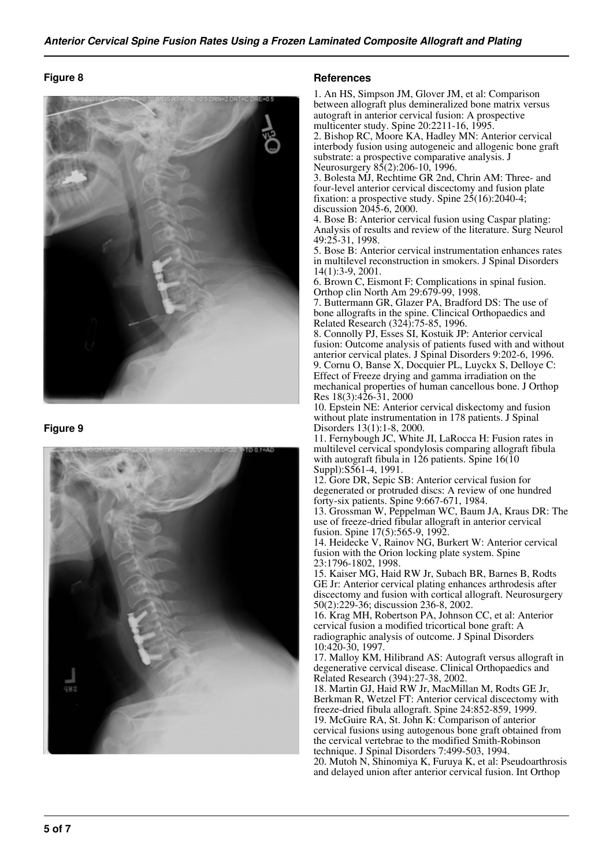#### **Figure 8**

![](_page_4_Picture_2.jpeg)

#### **Figure 9**

![](_page_4_Picture_4.jpeg)

#### **References**

1. An HS, Simpson JM, Glover JM, et al: Comparison between allograft plus demineralized bone matrix versus autograft in anterior cervical fusion: A prospective multicenter study. Spine 20:2211-16, 1995.

2. Bishop RC, Moore KA, Hadley MN: Anterior cervical interbody fusion using autogeneic and allogenic bone graft substrate: a prospective comparative analysis. J Neurosurgery 85(2):206-10, 1996.

3. Bolesta MJ, Rechtime GR 2nd, Chrin AM: Three- and four-level anterior cervical discectomy and fusion plate fixation: a prospective study. Spine  $25(16)$ : 2040-4; discussion 2045-6, 2000.

4. Bose B: Anterior cervical fusion using Caspar plating: Analysis of results and review of the literature. Surg Neurol 49:25-31, 1998.

5. Bose B: Anterior cervical instrumentation enhances rates in multilevel reconstruction in smokers. J Spinal Disorders 14(1):3-9, 2001.

6. Brown C, Eismont F: Complications in spinal fusion. Orthop clin North Am 29:679-99, 1998.

7. Buttermann GR, Glazer PA, Bradford DS: The use of bone allografts in the spine. Clincical Orthopaedics and Related Research (324):75-85, 1996.

8. Connolly PJ, Esses SI, Kostuik JP: Anterior cervical fusion: Outcome analysis of patients fused with and without anterior cervical plates. J Spinal Disorders 9:202-6, 1996. 9. Cornu O, Banse X, Docquier PL, Luyckx S, Delloye C: Effect of Freeze drying and gamma irradiation on the mechanical properties of human cancellous bone. J Orthop Res 18(3):426-31, 2000

10. Epstein NE: Anterior cervical diskectomy and fusion without plate instrumentation in 178 patients. J Spinal Disorders 13(1):1-8, 2000.

11. Fernybough JC, White JI, LaRocca H: Fusion rates in multilevel cervical spondylosis comparing allograft fibula with autograft fibula in 126 patients. Spine 16(10) Suppl):S561-4, 1991.

12. Gore DR, Sepic SB: Anterior cervical fusion for degenerated or protruded discs: A review of one hundred forty-six patients. Spine 9:667-671, 1984.

13. Grossman W, Peppelman WC, Baum JA, Kraus DR: The use of freeze-dried fibular allograft in anterior cervical fusion. Spine 17(5):565-9, 1992.

14. Heidecke V, Rainov NG, Burkert W: Anterior cervical fusion with the Orion locking plate system. Spine 23:1796-1802, 1998.

15. Kaiser MG, Haid RW Jr, Subach BR, Barnes B, Rodts GE Jr: Anterior cervical plating enhances arthrodesis after discectomy and fusion with cortical allograft. Neurosurgery 50(2):229-36; discussion 236-8, 2002.

16. Krag MH, Robertson PA, Johnson CC, et al: Anterior cervical fusion a modified tricortical bone graft: A radiographic analysis of outcome. J Spinal Disorders 10:420-30, 1997.

17. Malloy KM, Hilibrand AS: Autograft versus allograft in degenerative cervical disease. Clinical Orthopaedics and Related Research (394):27-38, 2002.

18. Martin GJ, Haid RW Jr, MacMillan M, Rodts GE Jr, Berkman R, Wetzel FT: Anterior cervical discectomy with freeze-dried fibula allograft. Spine 24:852-859, 1999. 19. McGuire RA, St. John K: Comparison of anterior cervical fusions using autogenous bone graft obtained from the cervical vertebrae to the modified Smith-Robinson

technique. J Spinal Disorders 7:499-503, 1994. 20. Mutoh N, Shinomiya K, Furuya K, et al: Pseudoarthrosis and delayed union after anterior cervical fusion. Int Orthop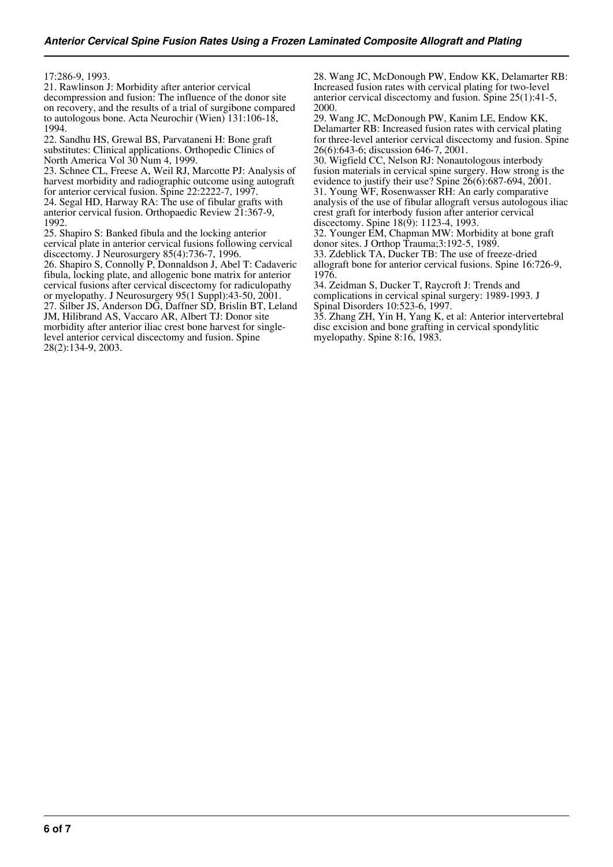17:286-9, 1993.

21. Rawlinson J: Morbidity after anterior cervical decompression and fusion: The influence of the donor site on recovery, and the results of a trial of surgibone compared to autologous bone. Acta Neurochir (Wien) 131:106-18, 1994.

22. Sandhu HS, Grewal BS, Parvataneni H: Bone graft substitutes: Clinical applications. Orthopedic Clinics of North America Vol 30 Num 4, 1999.

23. Schnee CL, Freese A, Weil RJ, Marcotte PJ: Analysis of harvest morbidity and radiographic outcome using autograft for anterior cervical fusion. Spine 22:2222-7, 1997.

24. Segal HD, Harway RA: The use of fibular grafts with anterior cervical fusion. Orthopaedic Review 21:367-9, 1992.

25. Shapiro S: Banked fibula and the locking anterior cervical plate in anterior cervical fusions following cervical discectomy. J Neurosurgery 85(4):736-7, 1996. 26. Shapiro S, Connolly P, Donnaldson J, Abel T: Cadaveric

fibula, locking plate, and allogenic bone matrix for anterior cervical fusions after cervical discectomy for radiculopathy or myelopathy. J Neurosurgery 95(1 Suppl):43-50, 2001. 27. Silber JS, Anderson DG, Daffner SD, Brislin BT, Leland JM, Hilibrand AS, Vaccaro AR, Albert TJ: Donor site morbidity after anterior iliac crest bone harvest for singlelevel anterior cervical discectomy and fusion. Spine 28(2):134-9, 2003.

28. Wang JC, McDonough PW, Endow KK, Delamarter RB: Increased fusion rates with cervical plating for two-level anterior cervical discectomy and fusion. Spine 25(1):41-5, 2000.

29. Wang JC, McDonough PW, Kanim LE, Endow KK, Delamarter RB: Increased fusion rates with cervical plating for three-level anterior cervical discectomy and fusion. Spine 26(6):643-6; discussion 646-7, 2001.

30. Wigfield CC, Nelson RJ: Nonautologous interbody fusion materials in cervical spine surgery. How strong is the evidence to justify their use? Spine 26(6):687-694, 2001. 31. Young WF, Rosenwasser RH: An early comparative analysis of the use of fibular allograft versus autologous iliac crest graft for interbody fusion after anterior cervical discectomy. Spine 18(9): 1123-4, 1993.

32. Younger EM, Chapman MW: Morbidity at bone graft donor sites. J Orthop Trauma;3:192-5, 1989.

33. Zdeblick TA, Ducker TB: The use of freeze-dried allograft bone for anterior cervical fusions. Spine 16:726-9, 1976.

34. Zeidman S, Ducker T, Raycroft J: Trends and complications in cervical spinal surgery: 1989-1993. J Spinal Disorders 10:523-6, 1997.

35. Zhang ZH, Yin H, Yang K, et al: Anterior intervertebral disc excision and bone grafting in cervical spondylitic myelopathy. Spine 8:16, 1983.